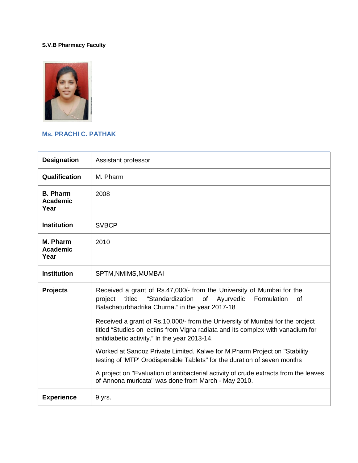## **S.V.B Pharmacy Faculty**



## **Ms. PRACHI C. PATHAK**

| <b>Designation</b>                         | Assistant professor                                                                                                                                                                                              |
|--------------------------------------------|------------------------------------------------------------------------------------------------------------------------------------------------------------------------------------------------------------------|
| Qualification                              | M. Pharm                                                                                                                                                                                                         |
| <b>B. Pharm</b><br><b>Academic</b><br>Year | 2008                                                                                                                                                                                                             |
| <b>Institution</b>                         | <b>SVBCP</b>                                                                                                                                                                                                     |
| M. Pharm<br><b>Academic</b><br>Year        | 2010                                                                                                                                                                                                             |
| <b>Institution</b>                         | SPTM, NMIMS, MUMBAI                                                                                                                                                                                              |
| <b>Projects</b>                            | Received a grant of Rs.47,000/- from the University of Mumbai for the<br>"Standardization<br>titled<br>Ayurvedic<br>Formulation<br>project<br>of<br>0f<br>Balachaturbhadrika Churna." in the year 2017-18        |
|                                            | Received a grant of Rs.10,000/- from the University of Mumbai for the project<br>titled "Studies on lectins from Vigna radiata and its complex with vanadium for<br>antidiabetic activity." In the year 2013-14. |
|                                            | Worked at Sandoz Private Limited, Kalwe for M.Pharm Project on "Stability"<br>testing of 'MTP' Orodispersible Tablets" for the duration of seven months                                                          |
|                                            | A project on "Evaluation of antibacterial activity of crude extracts from the leaves<br>of Annona muricata" was done from March - May 2010.                                                                      |
| <b>Experience</b>                          | 9 yrs.                                                                                                                                                                                                           |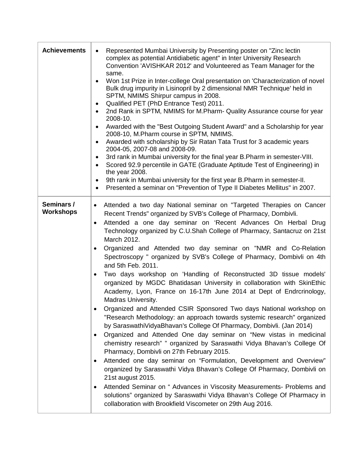| <b>Achievements</b>            | Represented Mumbai University by Presenting poster on "Zinc lectin"<br>$\bullet$<br>complex as potential Antidiabetic agent" in Inter University Research<br>Convention 'AVISHKAR 2012' and Volunteered as Team Manager for the<br>same.<br>Won 1st Prize in Inter-college Oral presentation on 'Characterization of novel<br>Bulk drug impurity in Lisinopril by 2 dimensional NMR Technique' held in<br>SPTM, NMIMS Shirpur campus in 2008.<br>Qualified PET (PhD Entrance Test) 2011.<br>٠<br>2nd Rank in SPTM, NMIMS for M.Pharm- Quality Assurance course for year<br>2008-10.<br>Awarded with the "Best Outgoing Student Award" and a Scholarship for year<br>2008-10, M.Pharm course in SPTM, NMIMS.<br>Awarded with scholarship by Sir Ratan Tata Trust for 3 academic years<br>$\bullet$<br>2004-05, 2007-08 and 2008-09.<br>3rd rank in Mumbai university for the final year B. Pharm in semester-VIII.<br>٠<br>Scored 92.9 percentile in GATE (Graduate Aptitude Test of Engineering) in<br>$\bullet$<br>the year 2008.<br>9th rank in Mumbai university for the first year B. Pharm in semester-II.<br>٠<br>Presented a seminar on "Prevention of Type II Diabetes Mellitus" in 2007.<br>٠                                                                                                                                                                                                                                                                                                                                                                        |
|--------------------------------|-------------------------------------------------------------------------------------------------------------------------------------------------------------------------------------------------------------------------------------------------------------------------------------------------------------------------------------------------------------------------------------------------------------------------------------------------------------------------------------------------------------------------------------------------------------------------------------------------------------------------------------------------------------------------------------------------------------------------------------------------------------------------------------------------------------------------------------------------------------------------------------------------------------------------------------------------------------------------------------------------------------------------------------------------------------------------------------------------------------------------------------------------------------------------------------------------------------------------------------------------------------------------------------------------------------------------------------------------------------------------------------------------------------------------------------------------------------------------------------------------------------------------------------------------------------------------------|
| Seminars /<br><b>Workshops</b> | Attended a two day National seminar on "Targeted Therapies on Cancer<br>$\bullet$<br>Recent Trends" organized by SVB's College of Pharmacy, Dombivli.<br>Attended a one day seminar on 'Recent Advances On Herbal Drug<br>$\bullet$<br>Technology organized by C.U.Shah College of Pharmacy, Santacruz on 21st<br>March 2012.<br>Organized and Attended two day seminar on "NMR and Co-Relation<br>$\bullet$<br>Spectroscopy " organized by SVB's College of Pharmacy, Dombivli on 4th<br>and 5th Feb. 2011.<br>Two days workshop on 'Handling of Reconstructed 3D tissue models'<br>organized by MGDC Bhatidasan University in collaboration with SkinEthic<br>Academy, Lyon, France on 16-17th June 2014 at Dept of Endrcrinology,<br>Madras University.<br>Organized and Attended CSIR Sponsored Two days National workshop on<br>"Research Methodology: an approach towards systemic research" organized<br>by SaraswathiVidyaBhavan's College Of Pharmacy, Dombivli. (Jan 2014)<br>Organized and Attended One day seminar on "New vistas in medicinal<br>chemistry research" " organized by Saraswathi Vidya Bhavan's College Of<br>Pharmacy, Dombivli on 27th February 2015.<br>Attended one day seminar on "Formulation, Development and Overview"<br>organized by Saraswathi Vidya Bhavan's College Of Pharmacy, Dombivli on<br>21st august 2015.<br>Attended Seminar on " Advances in Viscosity Measurements- Problems and<br>solutions" organized by Saraswathi Vidya Bhavan's College Of Pharmacy in<br>collaboration with Brookfield Viscometer on 29th Aug 2016. |